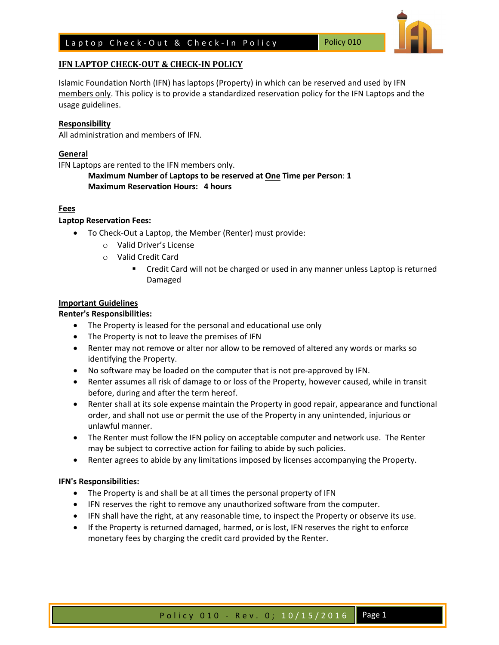## Laptop Check-Out & Check-In Policy Policy 010

## **IFN LAPTOP CHECK-OUT & CHECK-IN POLICY**

Islamic Foundation North (IFN) has laptops (Property) in which can be reserved and used by IFN members only. This policy is to provide a standardized reservation policy for the IFN Laptops and the usage guidelines.

## **Responsibility**

All administration and members of IFN.

## **General**

IFN Laptops are rented to the IFN members only.

**Maximum Number of Laptops to be reserved at One Time per Person**: **1 Maximum Reservation Hours: 4 hours**

## **Fees**

## **Laptop Reservation Fees:**

- To Check-Out a Laptop, the Member (Renter) must provide:
	- o Valid Driver's License
	- o Valid Credit Card
		- Credit Card will not be charged or used in any manner unless Laptop is returned Damaged

## **Important Guidelines**

## **Renter's Responsibilities:**

- The Property is leased for the personal and educational use only
- The Property is not to leave the premises of IFN
- Renter may not remove or alter nor allow to be removed of altered any words or marks so identifying the Property.
- No software may be loaded on the computer that is not pre-approved by IFN.
- Renter assumes all risk of damage to or loss of the Property, however caused, while in transit before, during and after the term hereof.
- Renter shall at its sole expense maintain the Property in good repair, appearance and functional order, and shall not use or permit the use of the Property in any unintended, injurious or unlawful manner.
- The Renter must follow the IFN policy on acceptable computer and network use. The Renter may be subject to corrective action for failing to abide by such policies.
- Renter agrees to abide by any limitations imposed by licenses accompanying the Property.

#### **IFN's Responsibilities:**

- The Property is and shall be at all times the personal property of IFN
- IFN reserves the right to remove any unauthorized software from the computer.
- IFN shall have the right, at any reasonable time, to inspect the Property or observe its use.
- If the Property is returned damaged, harmed, or is lost, IFN reserves the right to enforce monetary fees by charging the credit card provided by the Renter.